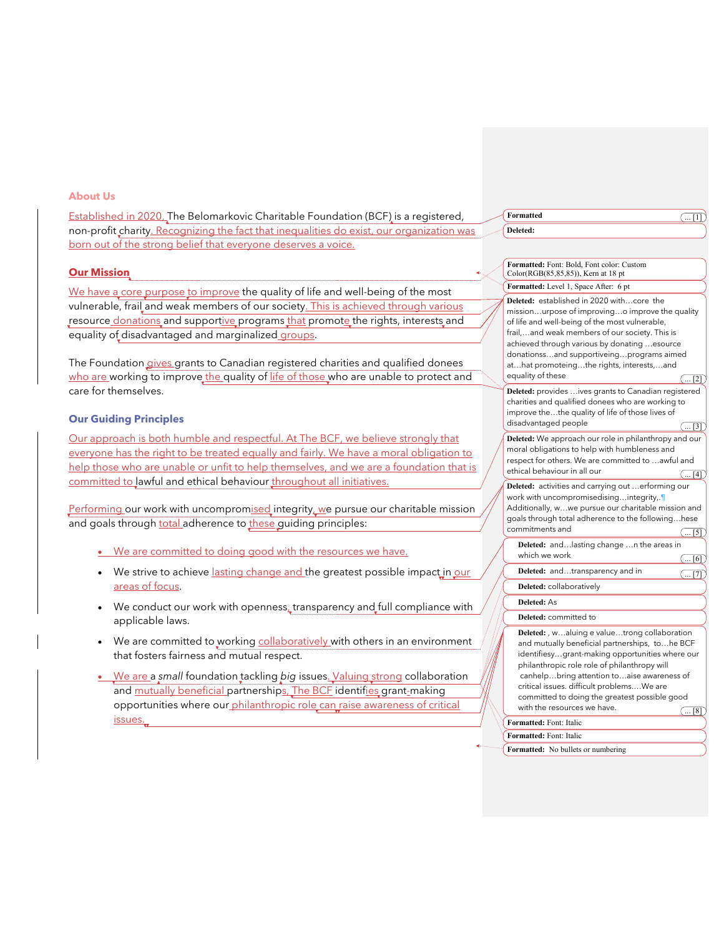## **About Us**

Established in 2020, The Belomarkovic Charitable Foundation (BCF) is a registered, non-profit charity. Recognizing the fact that inequalities do exist, our organization was born out of the strong belief that everyone deserves a voice.

## **Our Mission**

We have a core purpose to improve the quality of life and well-being of the most vulnerable, frail and weak members of our society. This is achieved through various resource donations and supportive programs that promote the rights, interests and equality of disadvantaged and marginalized groups.

The Foundation gives grants to Canadian registered charities and qualified donees who are working to improve the quality of life of those who are unable to protect and care for themselves.

# **Our Guiding Principles**

Our approach is both humble and respectful. At The BCF, we believe strongly that everyone has the right to be treated equally and fairly. We have a moral obligation to help those who are unable or unfit to help themselves, and we are a foundation that is committed to lawful and ethical behaviour throughout all initiatives.

Performing our work with uncompromised integrity, we pursue our charitable mission and goals through total adherence to these guiding principles:

- We are committed to doing good with the resources we have.
- We strive to achieve lasting change and the greatest possible impact in our areas of focus.
- We conduct our work with openness, transparency and full compliance with applicable laws.
- We are committed to working collaboratively with others in an environment that fosters fairness and mutual respect.
- We are a *small* foundation tackling *big* issues. Valuing strong collaboration and mutually beneficial partnerships, The BCF identifies grant-making opportunities where our philanthropic role can raise awareness of critical issues.

**Formatted**  $\overline{\hspace{1cm}}$ **Deleted:** 

**Formatted:** Level 1, Space After: 6 pt **Formatted:** Font: Bold, Font color: Custom Color(RGB(85,85,85)), Kern at 18 pt **Deleted:** established in 2020 with…core the mission…urpose of improving…o improve the quality of life and well-being of the most vulnerable, frail,…and weak members of our society. This is achieved through various by donating …esource donationss…and supportiveing…programs aimed at…hat promoteing…the rights, interests,…and equality of these  $\sqrt{12}$ **Deleted:** provides …ives grants to Canadian registered charities and qualified donees who are working to improve the…the quality of life of those lives of disadvantaged people  $\sqrt{31}$ **Deleted:** We approach our role in philanthropy and our moral obligations to help with humbleness and respect for others. We are committed to …awful and ethical behaviour in all our  $\sqrt{... [4]}$ **Deleted:** activities and carrying out …erforming our work with uncompromisedising...integrity,. Additionally, w…we pursue our charitable mission and goals through total adherence to the following…hese commitments and  $\overline{(. . 5]}$ **Deleted:** and…lasting change …n the areas in which we work **Deleted:** and...transparency and in **Deleted:** collaboratively **Deleted:** As **Formatted:** Font: Italic **Deleted:** committed to **Deleted:** , w…aluing e value…trong collaboration and mutually beneficial partnerships, to…he BCF identifiesy…grant-making opportunities where our philanthropic role role of philanthropy will canhelp…bring attention to…aise awareness of critical issues. difficult problems.…We are committed to doing the greatest possible good with the resources we have.  $\sqrt{... [8]}$ 

**Formatted:** Font: Italic

**Formatted:** No bullets or numbering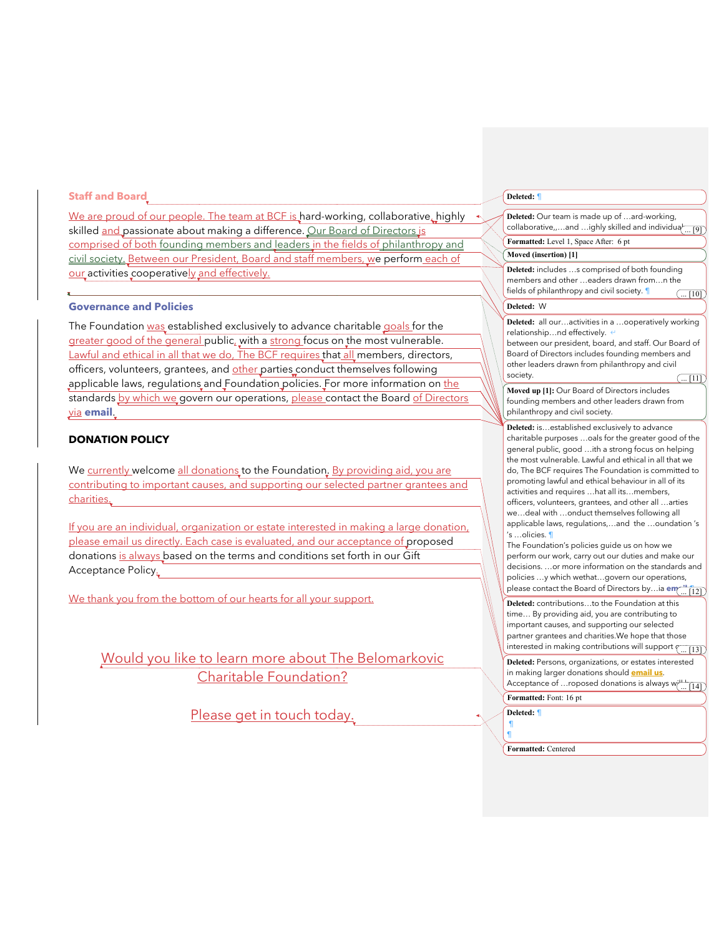#### **Staff and Board**

We are proud of our people. The team at BCF is hard-working, collaborative, highly skilled and passionate about making a difference. Our Board of Directors is comprised of both founding members and leaders in the fields of philanthropy and civil society. Between our President, Board and staff members, we perform each of our activities cooperatively and effectively.

## **Governance and Policies**

The Foundation was established exclusively to advance charitable goals for the greater good of the general public, with a strong focus on the most vulnerable. Lawful and ethical in all that we do, The BCF requires that all members, directors, officers, volunteers, grantees, and other parties conduct themselves following applicable laws, regulations and Foundation policies. For more information on the standards by which we govern our operations, please contact the Board of Directors via **email**.

# **DONATION POLICY**

We currently welcome all donations to the Foundation. By providing aid, you are contributing to important causes, and supporting our selected partner grantees and charities.

If you are an individual, organization or estate interested in making a large donation, please email us directly. Each case is evaluated, and our acceptance of proposed donations is always based on the terms and conditions set forth in our Gift Acceptance Policy.

We thank you from the bottom of our hearts for all your support.

Would you like to learn more about The Belomarkovic Charitable Foundation?

Please get in touch today.

## **Deleted:** ¶

| Deleted: Our team is made up of ard-working,<br>collaborative,and ighly skilled and individua <sup>l</sup> [9]                                                                                                                                                                                                                                                                                                                                                                                                                                                                                                                                                                                                                                                                                                                                               |
|--------------------------------------------------------------------------------------------------------------------------------------------------------------------------------------------------------------------------------------------------------------------------------------------------------------------------------------------------------------------------------------------------------------------------------------------------------------------------------------------------------------------------------------------------------------------------------------------------------------------------------------------------------------------------------------------------------------------------------------------------------------------------------------------------------------------------------------------------------------|
| Formatted: Level 1, Space After: 6 pt                                                                                                                                                                                                                                                                                                                                                                                                                                                                                                                                                                                                                                                                                                                                                                                                                        |
| Moved (insertion) [1]                                                                                                                                                                                                                                                                                                                                                                                                                                                                                                                                                                                                                                                                                                                                                                                                                                        |
| Deleted: includes s comprised of both founding<br>members and other  eaders drawn fromn the<br>fields of philanthropy and civil society. 1<br>(  [10]                                                                                                                                                                                                                                                                                                                                                                                                                                                                                                                                                                                                                                                                                                        |
| Deleted: W                                                                                                                                                                                                                                                                                                                                                                                                                                                                                                                                                                                                                                                                                                                                                                                                                                                   |
| Deleted: all ouractivities in a ooperatively working<br>relationshipnd effectively. e<br>between our president, board, and staff. Our Board of<br>Board of Directors includes founding members and<br>other leaders drawn from philanthropy and civil<br>society.<br>( [11]                                                                                                                                                                                                                                                                                                                                                                                                                                                                                                                                                                                  |
| Moved up [1]: Our Board of Directors includes<br>founding members and other leaders drawn from<br>philanthropy and civil society.                                                                                                                                                                                                                                                                                                                                                                                                                                                                                                                                                                                                                                                                                                                            |
| Deleted: isestablished exclusively to advance<br>charitable purposes  oals for the greater good of the<br>general public, good ith a strong focus on helping<br>the most vulnerable. Lawful and ethical in all that we<br>do, The BCF requires The Foundation is committed to<br>promoting lawful and ethical behaviour in all of its<br>activities and requires  hat all its members,<br>officers, volunteers, grantees, and other all  arties<br>wedeal with onduct themselves following all<br>applicable laws, regulations,and the oundation's<br>'s …olicies. ¶<br>The Foundation's policies guide us on how we<br>perform our work, carry out our duties and make our<br>decisions. or more information on the standards and<br>policies y which wethatgovern our operations,<br>please contact the Board of Directors byia em<br>$\lfloor 12 \rfloor$ |
| Deleted: contributionsto the Foundation at this<br>time By providing aid, you are contributing to<br>important causes, and supporting our selected<br>partner grantees and charities. We hope that those<br>interested in making contributions will support $\sqrt{ [13]}$                                                                                                                                                                                                                                                                                                                                                                                                                                                                                                                                                                                   |
| Deleted: Persons, organizations, or estates interested<br>in making larger donations should <b>email us</b> .<br>Acceptance of roposed donations is always w<br>14                                                                                                                                                                                                                                                                                                                                                                                                                                                                                                                                                                                                                                                                                           |
| Formatted: Font: 16 pt                                                                                                                                                                                                                                                                                                                                                                                                                                                                                                                                                                                                                                                                                                                                                                                                                                       |
| Deleted: 1<br>1<br>٩                                                                                                                                                                                                                                                                                                                                                                                                                                                                                                                                                                                                                                                                                                                                                                                                                                         |

**Formatted:** Centered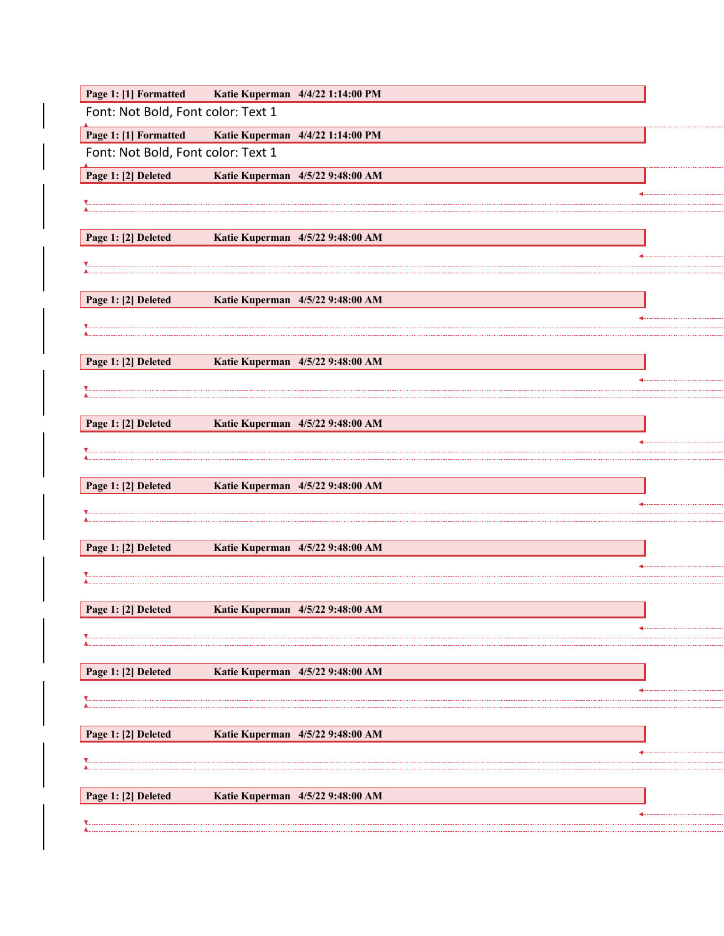| Page 1: [1] Formatted              | Katie Kuperman 4/4/22 1:14:00 PM |  |
|------------------------------------|----------------------------------|--|
| Font: Not Bold, Font color: Text 1 |                                  |  |
| Page 1: [1] Formatted              | Katie Kuperman 4/4/22 1:14:00 PM |  |
| Font: Not Bold, Font color: Text 1 |                                  |  |
| Page 1: [2] Deleted                | Katie Kuperman 4/5/22 9:48:00 AM |  |
|                                    |                                  |  |
|                                    |                                  |  |
| Page 1: [2] Deleted                | Katie Kuperman 4/5/22 9:48:00 AM |  |
|                                    |                                  |  |
|                                    |                                  |  |
| Page 1: [2] Deleted                | Katie Kuperman 4/5/22 9:48:00 AM |  |
|                                    |                                  |  |
|                                    |                                  |  |
| Page 1: [2] Deleted                | Katie Kuperman 4/5/22 9:48:00 AM |  |
|                                    |                                  |  |
|                                    |                                  |  |
| Page 1: [2] Deleted                | Katie Kuperman 4/5/22 9:48:00 AM |  |
|                                    |                                  |  |
|                                    |                                  |  |
| Page 1: [2] Deleted                | Katie Kuperman 4/5/22 9:48:00 AM |  |
|                                    |                                  |  |
|                                    |                                  |  |
| Page 1: [2] Deleted                | Katie Kuperman 4/5/22 9:48:00 AM |  |
|                                    |                                  |  |
|                                    |                                  |  |
| Page 1: [2] Deleted                | Katie Kuperman 4/5/22 9:48:00 AM |  |
|                                    |                                  |  |
| Page 1: [2] Deleted                | Katie Kuperman 4/5/22 9:48:00 AM |  |
|                                    |                                  |  |
|                                    |                                  |  |
| Page 1: [2] Deleted                | Katie Kuperman 4/5/22 9:48:00 AM |  |
|                                    |                                  |  |
|                                    |                                  |  |
| Page 1: [2] Deleted                | Katie Kuperman 4/5/22 9:48:00 AM |  |
|                                    |                                  |  |
|                                    |                                  |  |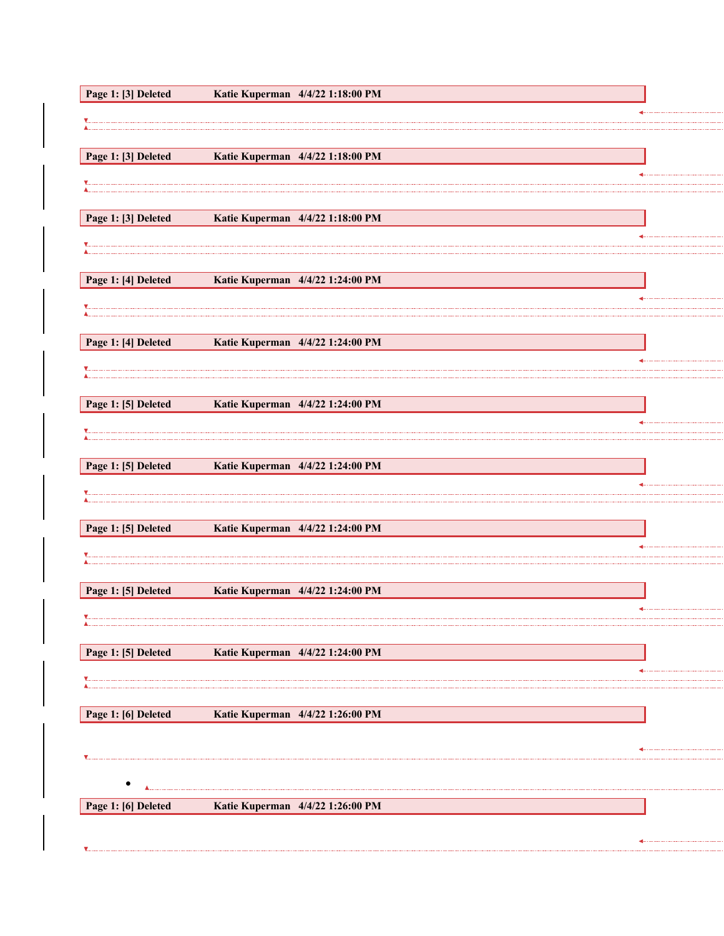| Page 1: [3] Deleted | Katie Kuperman 4/4/22 1:18:00 PM |  |
|---------------------|----------------------------------|--|
|                     |                                  |  |
|                     |                                  |  |
| Page 1: [3] Deleted | Katie Kuperman 4/4/22 1:18:00 PM |  |
|                     |                                  |  |
|                     |                                  |  |
| Page 1: [3] Deleted | Katie Kuperman 4/4/22 1:18:00 PM |  |
|                     |                                  |  |
| Page 1: [4] Deleted | Katie Kuperman 4/4/22 1:24:00 PM |  |
|                     |                                  |  |
|                     |                                  |  |
| Page 1: [4] Deleted | Katie Kuperman 4/4/22 1:24:00 PM |  |
|                     |                                  |  |
|                     |                                  |  |
| Page 1: [5] Deleted | Katie Kuperman 4/4/22 1:24:00 PM |  |
|                     |                                  |  |
| Page 1: [5] Deleted | Katie Kuperman 4/4/22 1:24:00 PM |  |
|                     |                                  |  |
|                     |                                  |  |
| Page 1: [5] Deleted | Katie Kuperman 4/4/22 1:24:00 PM |  |
|                     |                                  |  |
|                     |                                  |  |
| Page 1: [5] Deleted | Katie Kuperman 4/4/22 1:24:00 PM |  |
|                     |                                  |  |
|                     |                                  |  |
| Page 1: [5] Deleted | Katie Kuperman 4/4/22 1:24:00 PM |  |
|                     |                                  |  |
| Page 1: [6] Deleted | Katie Kuperman 4/4/22 1:26:00 PM |  |
|                     |                                  |  |
|                     |                                  |  |
|                     |                                  |  |
| Page 1: [6] Deleted | Katie Kuperman 4/4/22 1:26:00 PM |  |
|                     |                                  |  |
|                     |                                  |  |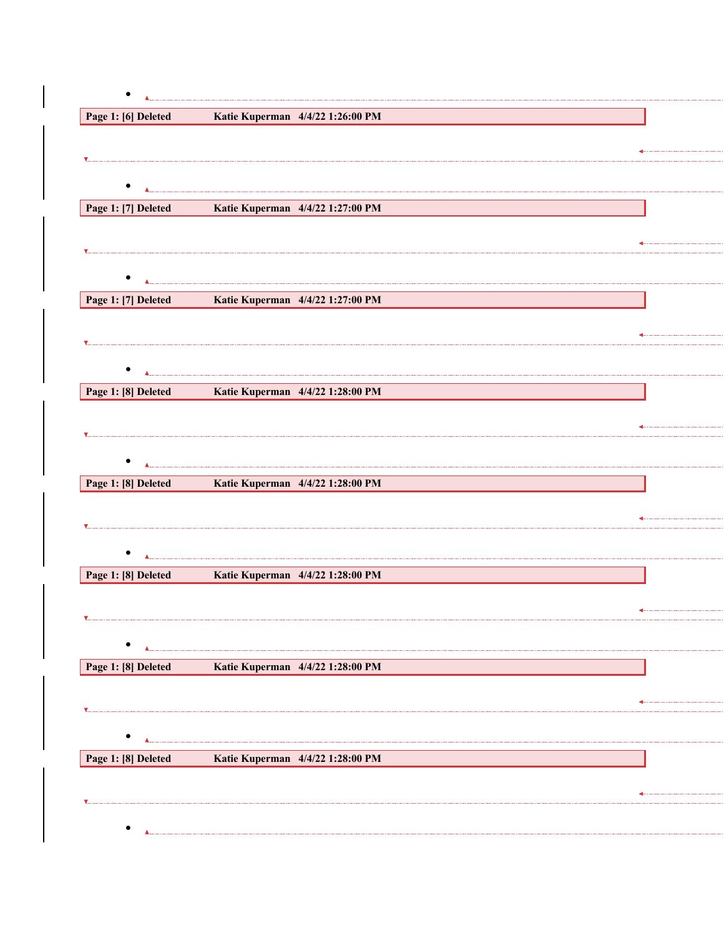| Page 1: [6] Deleted | Katie Kuperman 4/4/22 1:26:00 PM                     |  |
|---------------------|------------------------------------------------------|--|
|                     |                                                      |  |
|                     |                                                      |  |
|                     |                                                      |  |
| Page 1: [7] Deleted | Katie Kuperman 4/4/22 1:27:00 PM                     |  |
|                     |                                                      |  |
|                     |                                                      |  |
|                     |                                                      |  |
| Page 1: [7] Deleted | Katie Kuperman 4/4/22 1:27:00 PM                     |  |
|                     |                                                      |  |
|                     |                                                      |  |
|                     |                                                      |  |
| Page 1: [8] Deleted | <b>Katie Kuperman</b> 4/4/22 1:28:00 PM              |  |
|                     |                                                      |  |
| $\blacksquare$      |                                                      |  |
|                     |                                                      |  |
|                     | Page 1: [8] Deleted Katie Kuperman 4/4/22 1:28:00 PM |  |
|                     |                                                      |  |
|                     |                                                      |  |
|                     |                                                      |  |
| Page 1: [8] Deleted | Katie Kuperman 4/4/22 1:28:00 PM                     |  |
|                     |                                                      |  |
|                     |                                                      |  |
|                     |                                                      |  |
| Page 1: [8] Deleted | Katie Kuperman 4/4/22 1:28:00 PM                     |  |
|                     |                                                      |  |
|                     |                                                      |  |
|                     |                                                      |  |
| Page 1: [8] Deleted | Katie Kuperman 4/4/22 1:28:00 PM                     |  |
|                     |                                                      |  |
|                     |                                                      |  |
|                     |                                                      |  |
|                     |                                                      |  |

 $\begin{array}{c} \begin{array}{c} \begin{array}{c} \begin{array}{c} \end{array} \end{array} \end{array} \end{array} \end{array}$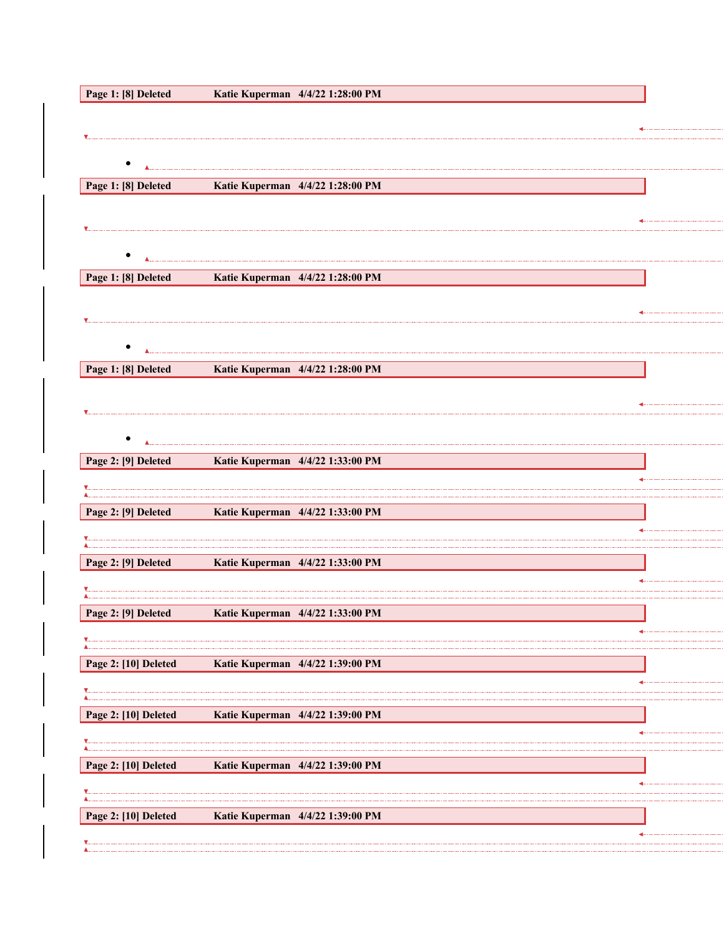| Page 1: [8] Deleted  | Katie Kuperman 4/4/22 1:28:00 PM |  |
|----------------------|----------------------------------|--|
|                      |                                  |  |
|                      |                                  |  |
|                      |                                  |  |
| Page 1: [8] Deleted  | Katie Kuperman 4/4/22 1:28:00 PM |  |
|                      |                                  |  |
|                      |                                  |  |
| $\bullet$            |                                  |  |
| Page 1: [8] Deleted  | Katie Kuperman 4/4/22 1:28:00 PM |  |
|                      |                                  |  |
|                      |                                  |  |
|                      |                                  |  |
| Page 1: [8] Deleted  | Katie Kuperman 4/4/22 1:28:00 PM |  |
|                      |                                  |  |
|                      |                                  |  |
| $\bullet$            |                                  |  |
| Page 2: [9] Deleted  | Katie Kuperman 4/4/22 1:33:00 PM |  |
|                      |                                  |  |
| Page 2: [9] Deleted  | Katie Kuperman 4/4/22 1:33:00 PM |  |
|                      |                                  |  |
|                      |                                  |  |
| Page 2: [9] Deleted  | Katie Kuperman 4/4/22 1:33:00 PM |  |
|                      |                                  |  |
| Page 2: [9] Deleted  | Katie Kuperman 4/4/22 1:33:00 PM |  |
|                      |                                  |  |
| Page 2: [10] Deleted | Katie Kuperman 4/4/22 1:39:00 PM |  |
|                      |                                  |  |
| Page 2: [10] Deleted | Katie Kuperman 4/4/22 1:39:00 PM |  |
|                      |                                  |  |
| Page 2: [10] Deleted | Katie Kuperman 4/4/22 1:39:00 PM |  |
|                      |                                  |  |
|                      |                                  |  |
| Page 2: [10] Deleted | Katie Kuperman 4/4/22 1:39:00 PM |  |
|                      |                                  |  |
|                      |                                  |  |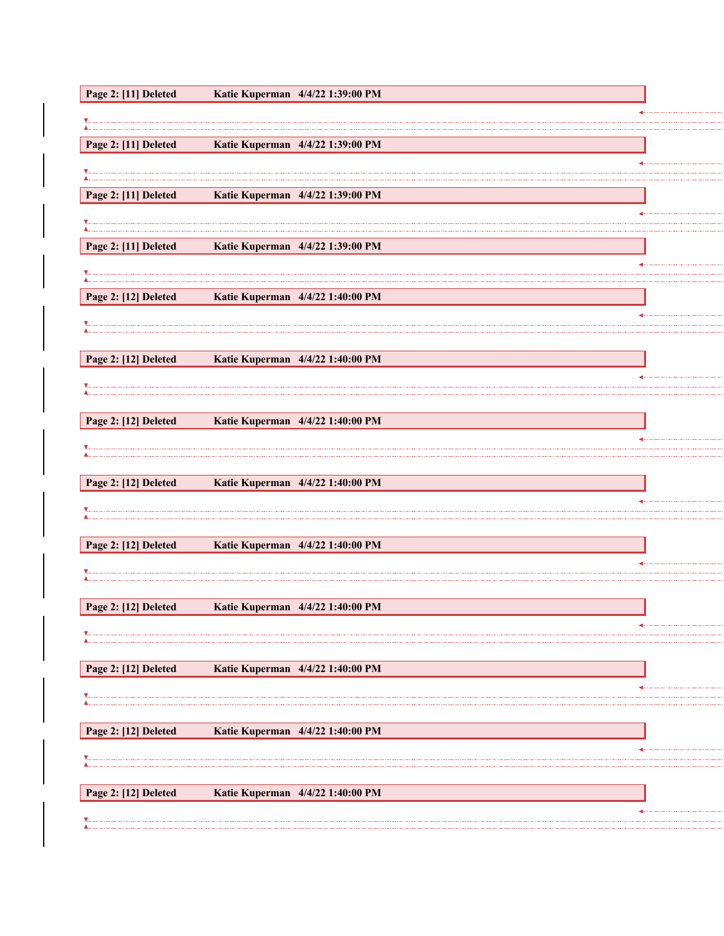| Page 2: [11] Deleted | Katie Kuperman 4/4/22 1:39:00 PM |  |
|----------------------|----------------------------------|--|
|                      |                                  |  |
|                      |                                  |  |
|                      |                                  |  |
| Page 2: [11] Deleted | Katie Kuperman 4/4/22 1:39:00 PM |  |
|                      |                                  |  |
|                      |                                  |  |
| Page 2: [11] Deleted | Katie Kuperman 4/4/22 1:39:00 PM |  |
|                      |                                  |  |
|                      |                                  |  |
|                      |                                  |  |
| Page 2: [11] Deleted | Katie Kuperman 4/4/22 1:39:00 PM |  |
|                      |                                  |  |
|                      |                                  |  |
|                      |                                  |  |
| Page 2: [12] Deleted | Katie Kuperman 4/4/22 1:40:00 PM |  |
|                      |                                  |  |
|                      |                                  |  |
|                      |                                  |  |
|                      |                                  |  |
| Page 2: [12] Deleted | Katie Kuperman 4/4/22 1:40:00 PM |  |
|                      |                                  |  |
|                      |                                  |  |
|                      |                                  |  |
| Page 2: [12] Deleted | Katie Kuperman 4/4/22 1:40:00 PM |  |
|                      |                                  |  |
|                      |                                  |  |
|                      |                                  |  |
|                      |                                  |  |
| Page 2: [12] Deleted | Katie Kuperman 4/4/22 1:40:00 PM |  |
|                      |                                  |  |
|                      |                                  |  |
|                      |                                  |  |
|                      |                                  |  |
| Page 2: [12] Deleted | Katie Kuperman 4/4/22 1:40:00 PM |  |
|                      |                                  |  |
|                      |                                  |  |
|                      |                                  |  |
| Page 2: [12] Deleted | Katie Kuperman 4/4/22 1:40:00 PM |  |
|                      |                                  |  |
|                      |                                  |  |
|                      |                                  |  |
|                      |                                  |  |
| Page 2: [12] Deleted | Katie Kuperman 4/4/22 1:40:00 PM |  |
|                      |                                  |  |
|                      |                                  |  |
|                      |                                  |  |
|                      |                                  |  |
| Page 2: [12] Deleted | Katie Kuperman 4/4/22 1:40:00 PM |  |
|                      |                                  |  |
|                      |                                  |  |
|                      |                                  |  |
|                      |                                  |  |
|                      |                                  |  |
| Page 2: [12] Deleted | Katie Kuperman 4/4/22 1:40:00 PM |  |
|                      |                                  |  |

........... 

. . . . . . . . . . . . . . . . . . . . 

. . . . . . . . . . . . . . . . . . . . 

...........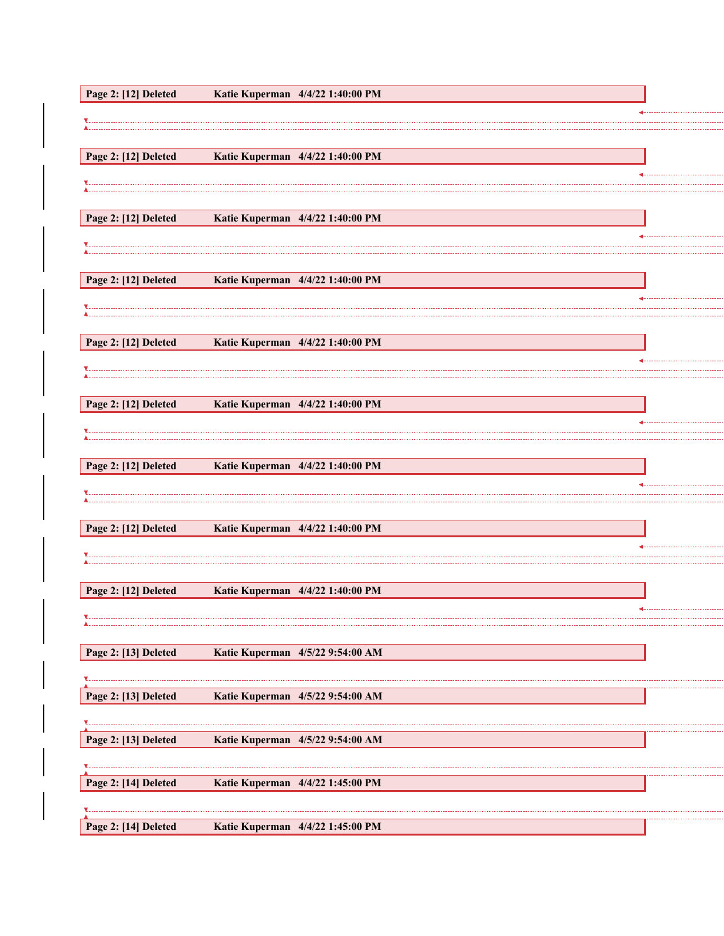| Page 2: [12] Deleted | Katie Kuperman 4/4/22 1:40:00 PM |
|----------------------|----------------------------------|
|                      |                                  |
|                      |                                  |
|                      |                                  |
| Page 2: [12] Deleted | Katie Kuperman 4/4/22 1:40:00 PM |
|                      |                                  |
|                      |                                  |
|                      |                                  |
| Page 2: [12] Deleted | Katie Kuperman 4/4/22 1:40:00 PM |
|                      |                                  |
|                      |                                  |
|                      |                                  |
| Page 2: [12] Deleted | Katie Kuperman 4/4/22 1:40:00 PM |
|                      |                                  |
|                      |                                  |
| Page 2: [12] Deleted | Katie Kuperman 4/4/22 1:40:00 PM |
|                      |                                  |
|                      |                                  |
|                      |                                  |
| Page 2: [12] Deleted | Katie Kuperman 4/4/22 1:40:00 PM |
|                      |                                  |
|                      |                                  |
|                      |                                  |
| Page 2: [12] Deleted | Katie Kuperman 4/4/22 1:40:00 PM |
|                      |                                  |
|                      |                                  |
|                      |                                  |
| Page 2: [12] Deleted | Katie Kuperman 4/4/22 1:40:00 PM |
|                      |                                  |
|                      |                                  |
|                      |                                  |
| Page 2: [12] Deleted | Katie Kuperman 4/4/22 1:40:00 PM |
|                      |                                  |
|                      |                                  |
|                      |                                  |
| Page 2: [13] Deleted | Katie Kuperman 4/5/22 9:54:00 AM |
|                      |                                  |
|                      |                                  |
| Page 2: [13] Deleted | Katie Kuperman 4/5/22 9:54:00 AM |
|                      |                                  |
|                      |                                  |
| Page 2: [13] Deleted | Katie Kuperman 4/5/22 9:54:00 AM |
|                      |                                  |
| Page 2: [14] Deleted | Katie Kuperman 4/4/22 1:45:00 PM |
|                      |                                  |
|                      |                                  |
| Page 2: [14] Deleted | Katie Kuperman 4/4/22 1:45:00 PM |
|                      |                                  |